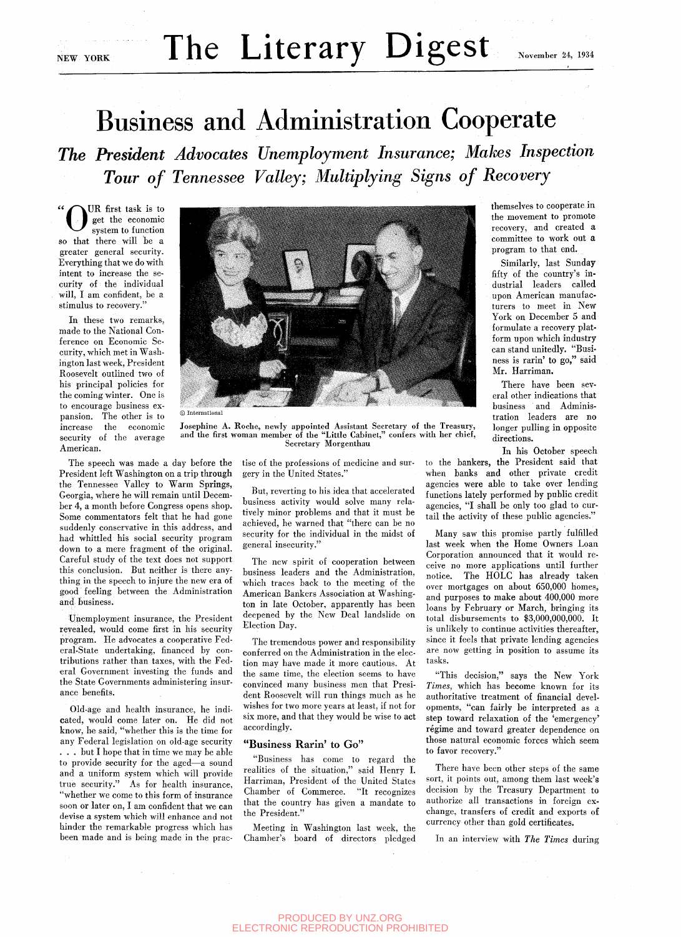# NEW YORK The Literary Digest November 24, 1934

## Business and Administration Cooperate

*The President Advocates Unemployment Insurance; Makes Inspection Tour of Tennessee Valley; Multiplying Signs of Recovery* 

kUR first task is to get the economic system to function so that there will be a greater general security. Everything that we do with intent to increase the security of the individual will, I am confident, be a stimulus to recovery."

In these two remarks, made to the National Conference on Economic Security, which met in Washington last week, President Roosevelt outlined two of his principal policies for the coming winter. One is to encourage business expansion. The other is to increase the economic security of the average American.

The speech was made a day before the President left Washington on a trip through the Tennessee Valley to Warm Springs, Georgia, where he will remain until December 4, a month before Congress opens shop. Some commentators felt that he had gone suddenly conservative in this address, and had whittled his social security program down to a mere fragment of the original. Careful study of the text does not support this conclusion. But neither is there anything in the speech to injure the new era of good feeling between the Administration and business.

Unemployment insurance, the President revealed, would come first in his security program. He advocates a cooperative Federal-State undertaking, financed by contributions rather than taxes, with the Federal Government investing the funds and the State Governments administering insurance benefits.

Old-age and health insurance, he indicated, would come later on. He did not know, he said, "whether this is the time for any Federal legislation on old-age security . . . but I hope that in time we may be able to provide security for the aged—a sound and a uniform system which will provide true security." As for health insurance, "whether we come to this form of insurance soon or later on, I am confident that we can devise a system which will enhance and not hinder the remarkable progress which has been made and is being made in the prac-



 $©$  International

Josephine A. Roche, newly appointed Assistant Secretary of the Treasury, and the first woman member of the "Little Cabinet," confers with her chief, Secretary Morgenthau

> tise of the professions of medicine and surgery in the United States."

But, reverting to his idea that accelerated business activity would solve many relatively minor problems and that it must be achieved, he warned that "there can be no security for the individual in the midst of general insecurity."

The new spirit of cooperation between business leaders and the Administration, which traces back to the meeting of the American Bankers Association at Washington in late October, apparently has been deepened by the New Deal landslide on Election Day.

The tremendous power and responsibility conferred on the Administration in the election may have made it more cautious. At the same time, the election seems to have convinced many business men that President Roosevelt will run things much as he wishes for two more years at least, if not for six more, and that they would be wise to act accordingly.

### "Business Rarin' to Go"

"Business has come to regard the realities of the situation," said Henry I. Harriman, President of the United States Chamber of Commerce. "It recognizes that the country has given a mandate to the President."

Meeting in Washington last week, the Chamber's board of directors pledged themselves to cooperate in the movement to promote recovery, and created a committee to work out a program to that end.

Similarly, last Sunday fifty of the country's industrial leaders called upon American manufacturers to meet in New York on December 5 and formulate a recovery platform upon which industry can stand unitedly. "Business is rarin' to go," said Mr. Harriman.

There have been several other indications that business and Administration leaders are no longer pulling in opposite directions.

In his October speech

to the bankers, the President said that when banks and other private credit agencies were able to take over lending functions lately performed by public credit agencies, "I shall be only too glad to curtail the activity of these public agencies."

Many saw this promise partly fulfilled last week when the Home Owners Loan Corporation announced that it would receive no more applications until further notice. The HOLC has already taken over mortgages on about 650,000 homes, and purposes to make about 400,000 more loans by February or March, bringing its total disbursements to \$3,000,000,000. It is unlikely to continue activities thereafter, since it feels that private lending agencies are now getting in position to assume its tasks.

"This decision," says the New York *Times,* which has become known for its authoritative treatment of financial developments, "can fairly be interpreted as a step toward relaxation of the 'emergency' régime and toward greater dependence on those natural economic forces which seem to favor recovery."

There have been other steps of the same sort, it points out, among them last week's decision by the Treasury Department to authorize all transactions in foreign exchange, transfers of credit and exports of currency other than gold certificates.

In an interview with *The Times* during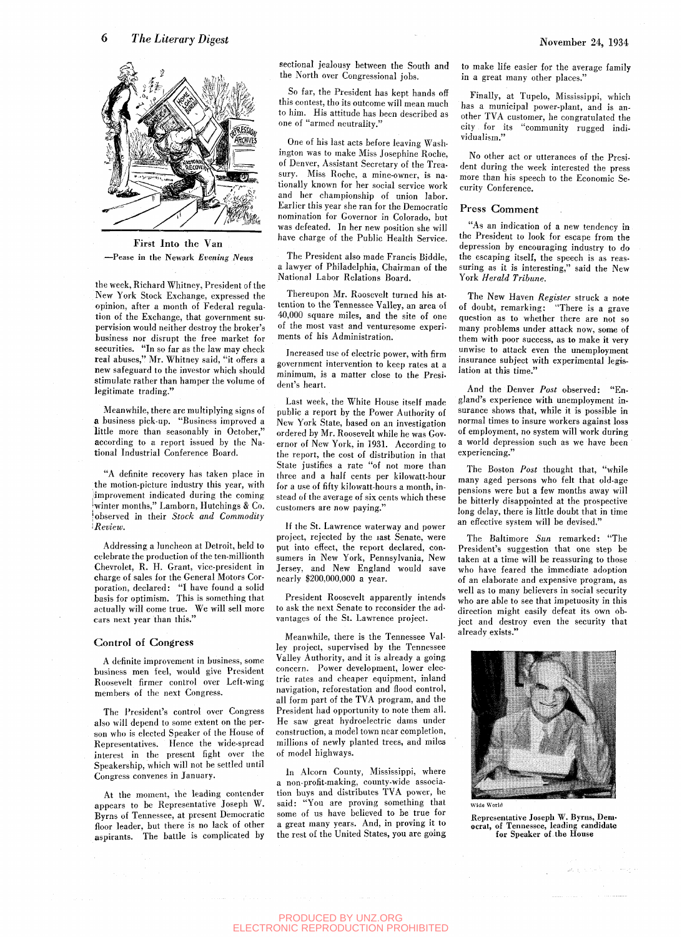

First **Into the Van**  —Pease in the Newark *Evening News* 

the week, Richard Whitney, President of the New York Stock Exchange, expressed the opinion, after a month of Federal regulation of the Exchange, that government supervision would neither destroy the broker's business nor disrupt the free market for securities. "In so far as the law may check real abuses," Mr. Whitney said, "it offers a new safeguard to the investor which should stimulate rather than hamper the volume of legitimate trading."

Meanwhile, there are multiplying signs of a business pick-up. "Business improved a little more than seasonably in October," according to a report issued by the National Industrial Conference Board.

"A definite recovery has taken place in the motion-picture industry this year, with improvement indicated during the coming ^winter months," Lamborn, Hutchings & Co. 'observed in their *Stock and Commodity 'i Review.* 

Addressing a luncheon at Detroit, held to celebrate the production of the ten-millionth Chevrolet, R. H. Grant, vice-president in charge of sales for the General Motors Corporation, declared: "I have found a solid basis for optimism. This is something that actually will come true. We will sell more cars next year than this."

#### **Control of Congress**

A definite improvement in business, some business men feel, would give President Roosevelt firmer control over Left-wing members of the next Congress.

The President's control over Congress also will depend to some extent on the person who is elected Speaker of the House of Representatives. Hence the wide-spread interest in the present fight over the Speakership, which will not be settled until Congress convenes in January.

At the moment, the leading contender appears to be Representative Joseph W. Byrns of Tennessee, at present Democratic floor leader, but there is no lack of other aspirants. The battle is complicated by sectional jealousy between the South and the North over Congressional jobs.

So far, the President has kept hands off this contest, tho its outcome will mean much to him. His attitude has been described as one of "armed neutrality."

One of his last acts before leaving Washington was to make Miss Josephine Roche, of Denver, Assistant Secretary of the Treasury. Miss Roche, a mine-owner, is nationally known for her social service work and her championship of union labor. Earlier this year she ran for the Democratic nomination for Governor in Colorado, but was defeated. In her new position she will have charge of the Public Health Service.

The President also made Francis Biddle, a lawyer of Philadelphia, Chairman of the National Labor Relations Board.

Thereupon Mr. Roosevelt turned his attention to the Tennessee Valley, an area of 40,000 square miles, and the site of one of the most vast and venturesome experiments of his Administration.

Increased use of electric power, with firm government intervention to keep rates at a minimum, is a matter close to the President's heart.

Last week, the White House itself made public a report by the Power Authority of New York State, based on an investigation ordered by Mr. Roosevelt while he was Governor of New York, in 1931. According to the report, the cost of distribution in that State justifies a rate "of not more than three and a half cents per kilowatt-hour for a use of fifty kilowatt-hours a month, instead of the average of six cents which these customers are now paying."

If the St. Lawrence waterway and power project, rejected by the iast Senate, were put into effect, the report declared, consumers in New York, Pennsylvania, New Jersey, and New England would save nearly \$200,000,000 a year.

President Roosevelt apparently intends to ask the next Senate to reconsider the advantages of the St. Lawrence project.

Meanwhile, there is the Tennessee Valley project, supervised by the Tennessee Valley Authority, and it is already a going concern. Power development, lower electric rates and cheaper equipment, inland navigation, reforestation and flood control, all form part of the TVA program, and the President had opportunity to note them all. He saw great hydroelectric dams under construction, a model town near completion, millions of newly planted trees, and miles of model highways.

In Alcorn County, Mississippi, where a non-profit-making, county-wide association buys and distributes TVA power, he said: "You are proving something that some of us have believed to be true for a great many years. And, in proving it to the rest of the United States, you are going to make life easier for the average family in a great many other places."

Finally, at Tupelo, Mississippi, which has a municipal power-plant, and is another TVA customer, he congratulated the city for its "community rugged individualism."

No other act or utterances of the President during the week interested the press more than his speech to the Economic Security Conference.

#### **Press Comment**

"As an indication of a new tendency in the President to look for escape from the depression by encouraging industry to do the escaping itself, the speech is as reassuring as it is interesting," said the New York *Herald Tribune.* 

The New Haven *Register* struck a note of doubt, remarking: "There is a grave question as to whether there are not so many problems under attack now, some of them with poor success, as to make it very unwise to attack even the unemployment insurance subject with experimental legislation at this time."

And the Denver *Post* observed: "England's experience with unemployment insurance shows that, while it is possible in normal times to insure workers against loss of employment, no system will work during a world depression such as we have been experiencing."

The Boston *Post* thought that, "while many aged persons who felt that old-age pensions were but a few months away will be bitterly disappointed at the prospective long delay, there is little doubt that in time an effective system will be devised."

The Baltimore *Sun* remarked: "The President's suggestion that one step be taken at a time will be reassuring to those who have feared the immediate adoption of an elaborate and expensive program, as well as to many believers in social security who are able to see that impetuosity in this direction might easily defeat its own object and destroy even the security that already exists."



for Speaker of the House

Representative Joseph W. Byrns, Democrat, of Tennessee, leading candidate